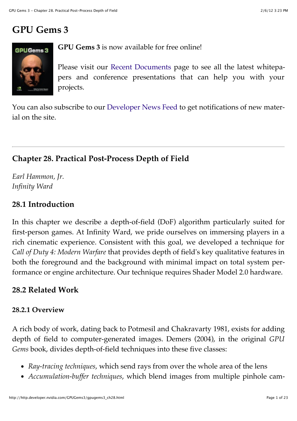# **GPU Gems 3**



**GPU Gems 3** is now available for free online!

Please visit our Recent Documents page to see all the latest whitepapers and conference presentations that can help you with your projects.

You can also subscribe to our Developer News Feed to get notifications of new material on the site.

# **Chapter 28. Practical Post-Process Depth of Field**

*Earl Hammon, Jr. Infinity Ward*

### **28.1 Introduction**

In this chapter we describe a depth-of-field (DoF) algorithm particularly suited for first-person games. At Infinity Ward, we pride ourselves on immersing players in a rich cinematic experience. Consistent with this goal, we developed a technique for *Call of Duty 4: Modern Warfare* that provides depth of field's key qualitative features in both the foreground and the background with minimal impact on total system performance or engine architecture. Our technique requires Shader Model 2.0 hardware.

### **28.2 Related Work**

### **28.2.1 Overview**

A rich body of work, dating back to Potmesil and Chakravarty 1981, exists for adding depth of field to computer-generated images. Demers (2004), in the original *GPU Gems* book, divides depth-of-field techniques into these five classes:

- *Ray-tracing techniques*, which send rays from over the whole area of the lens
- *Accumulation-buffer techniques*, which blend images from multiple pinhole cam-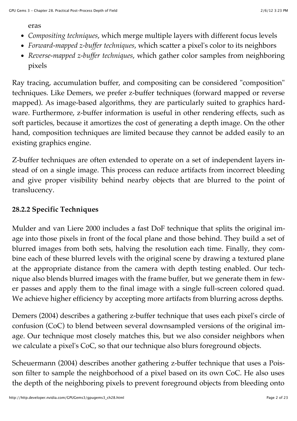eras

- *Compositing techniques*, which merge multiple layers with different focus levels
- *Forward-mapped z-buffer techniques*, which scatter a pixel's color to its neighbors
- *Reverse-mapped z-buffer techniques*, which gather color samples from neighboring pixels

Ray tracing, accumulation buffer, and compositing can be considered "composition" techniques. Like Demers, we prefer z-buffer techniques (forward mapped or reverse mapped). As image-based algorithms, they are particularly suited to graphics hardware. Furthermore, z-buffer information is useful in other rendering effects, such as soft particles, because it amortizes the cost of generating a depth image. On the other hand, composition techniques are limited because they cannot be added easily to an existing graphics engine.

Z-buffer techniques are often extended to operate on a set of independent layers instead of on a single image. This process can reduce artifacts from incorrect bleeding and give proper visibility behind nearby objects that are blurred to the point of translucency.

### **28.2.2 Specific Techniques**

Mulder and van Liere 2000 includes a fast DoF technique that splits the original image into those pixels in front of the focal plane and those behind. They build a set of blurred images from both sets, halving the resolution each time. Finally, they combine each of these blurred levels with the original scene by drawing a textured plane at the appropriate distance from the camera with depth testing enabled. Our technique also blends blurred images with the frame buffer, but we generate them in fewer passes and apply them to the final image with a single full-screen colored quad. We achieve higher efficiency by accepting more artifacts from blurring across depths.

Demers (2004) describes a gathering z-buffer technique that uses each pixel's circle of confusion (CoC) to blend between several downsampled versions of the original image. Our technique most closely matches this, but we also consider neighbors when we calculate a pixel's CoC, so that our technique also blurs foreground objects.

Scheuermann (2004) describes another gathering z-buffer technique that uses a Poisson filter to sample the neighborhood of a pixel based on its own CoC. He also uses the depth of the neighboring pixels to prevent foreground objects from bleeding onto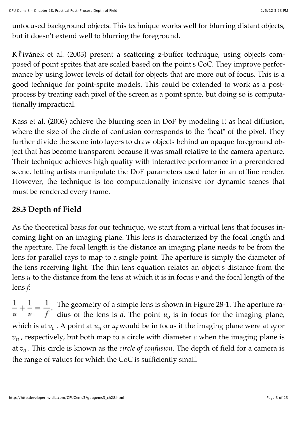unfocused background objects. This technique works well for blurring distant objects, but it doesn't extend well to blurring the foreground.

Křivánek et al. (2003) present a scattering z-buffer technique, using objects composed of point sprites that are scaled based on the point's CoC. They improve performance by using lower levels of detail for objects that are more out of focus. This is a good technique for point-sprite models. This could be extended to work as a postprocess by treating each pixel of the screen as a point sprite, but doing so is computationally impractical.

Kass et al. (2006) achieve the blurring seen in DoF by modeling it as heat diffusion, where the size of the circle of confusion corresponds to the "heat" of the pixel. They further divide the scene into layers to draw objects behind an opaque foreground object that has become transparent because it was small relative to the camera aperture. Their technique achieves high quality with interactive performance in a prerendered scene, letting artists manipulate the DoF parameters used later in an offline render. However, the technique is too computationally intensive for dynamic scenes that must be rendered every frame.

### **28.3 Depth of Field**

As the theoretical basis for our technique, we start from a virtual lens that focuses incoming light on an imaging plane. This lens is characterized by the focal length and the aperture. The focal length is the distance an imaging plane needs to be from the lens for parallel rays to map to a single point. The aperture is simply the diameter of the lens receiving light. The thin lens equation relates an object's distance from the lens *u* to the distance from the lens at which it is in focus *v* and the focal length of the lens *f*:

The geometry of a simple lens is shown in Figure 28-1. The aperture radius of the lens is  $d$ . The point  $u<sub>o</sub>$  is in focus for the imaging plane, which is at  $v_o$ . A point at  $u_n$  or  $u_f$  would be in focus if the imaging plane were at  $v_f$  or  $v_n$ , respectively, but both map to a circle with diameter  $c$  when the imaging plane is at *vo* . This circle is known as the *circle of confusion*. The depth of field for a camera is the range of values for which the CoC is sufficiently small.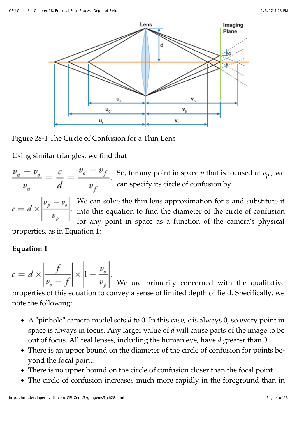

### Figure 28-1 The Circle of Confusion for a Thin Lens

Using similar triangles, we find that

So, for any point in space *p* that is focused at *vp* , we can specify its circle of confusion by

We can solve the thin lens approximation for *v* and substitute it into this equation to find the diameter of the circle of confusion for any point in space as a function of the camera's physical

properties, as in Equation 1:

### **Equation 1**

 $c = d \times \left| \frac{f}{v_o - f} \right| \times \left| 1 - \frac{v_o}{v_p} \right|$ . We are primarily concerned with the qualitative properties of this equation to convey a sense of limited depth of field. Specifically, we note the following:

- A "pinhole" camera model sets *d* to 0. In this case, *c* is always 0, so every point in space is always in focus. Any larger value of *d* will cause parts of the image to be out of focus. All real lenses, including the human eye, have *d* greater than 0.
- There is an upper bound on the diameter of the circle of confusion for points beyond the focal point.
- There is no upper bound on the circle of confusion closer than the focal point.
- The circle of confusion increases much more rapidly in the foreground than in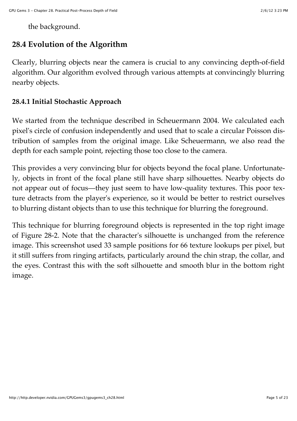the background.

### **28.4 Evolution of the Algorithm**

Clearly, blurring objects near the camera is crucial to any convincing depth-of-field algorithm. Our algorithm evolved through various attempts at convincingly blurring nearby objects.

#### **28.4.1 Initial Stochastic Approach**

We started from the technique described in Scheuermann 2004. We calculated each pixel's circle of confusion independently and used that to scale a circular Poisson distribution of samples from the original image. Like Scheuermann, we also read the depth for each sample point, rejecting those too close to the camera.

This provides a very convincing blur for objects beyond the focal plane. Unfortunately, objects in front of the focal plane still have sharp silhouettes. Nearby objects do not appear out of focus—they just seem to have low-quality textures. This poor texture detracts from the player's experience, so it would be better to restrict ourselves to blurring distant objects than to use this technique for blurring the foreground.

This technique for blurring foreground objects is represented in the top right image of Figure 28-2. Note that the character's silhouette is unchanged from the reference image. This screenshot used 33 sample positions for 66 texture lookups per pixel, but it still suffers from ringing artifacts, particularly around the chin strap, the collar, and the eyes. Contrast this with the soft silhouette and smooth blur in the bottom right image.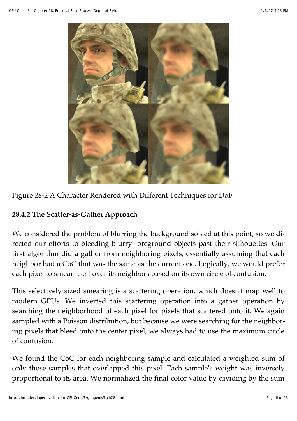



### **28.4.2 The Scatter-as-Gather Approach**

We considered the problem of blurring the background solved at this point, so we directed our efforts to bleeding blurry foreground objects past their silhouettes. Our first algorithm did a gather from neighboring pixels, essentially assuming that each neighbor had a CoC that was the same as the current one. Logically, we would prefer each pixel to smear itself over its neighbors based on its own circle of confusion.

This selectively sized smearing is a scattering operation, which doesn't map well to modern GPUs. We inverted this scattering operation into a gather operation by searching the neighborhood of each pixel for pixels that scattered onto it. We again sampled with a Poisson distribution, but because we were searching for the neighboring pixels that bleed onto the center pixel, we always had to use the maximum circle of confusion.

We found the CoC for each neighboring sample and calculated a weighted sum of only those samples that overlapped this pixel. Each sample's weight was inversely proportional to its area. We normalized the final color value by dividing by the sum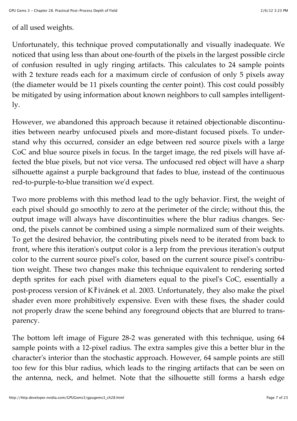### of all used weights.

Unfortunately, this technique proved computationally and visually inadequate. We noticed that using less than about one-fourth of the pixels in the largest possible circle of confusion resulted in ugly ringing artifacts. This calculates to 24 sample points with 2 texture reads each for a maximum circle of confusion of only 5 pixels away (the diameter would be 11 pixels counting the center point). This cost could possibly be mitigated by using information about known neighbors to cull samples intelligently.

However, we abandoned this approach because it retained objectionable discontinuities between nearby unfocused pixels and more-distant focused pixels. To understand why this occurred, consider an edge between red source pixels with a large CoC and blue source pixels in focus. In the target image, the red pixels will have affected the blue pixels, but not vice versa. The unfocused red object will have a sharp silhouette against a purple background that fades to blue, instead of the continuous red-to-purple-to-blue transition we'd expect.

Two more problems with this method lead to the ugly behavior. First, the weight of each pixel should go smoothly to zero at the perimeter of the circle; without this, the output image will always have discontinuities where the blur radius changes. Second, the pixels cannot be combined using a simple normalized sum of their weights. To get the desired behavior, the contributing pixels need to be iterated from back to front, where this iteration's output color is a lerp from the previous iteration's output color to the current source pixel's color, based on the current source pixel's contribution weight. These two changes make this technique equivalent to rendering sorted depth sprites for each pixel with diameters equal to the pixel's CoC, essentially a post-process version of K i ivánek et al. 2003. Unfortunately, they also make the pixel shader even more prohibitively expensive. Even with these fixes, the shader could not properly draw the scene behind any foreground objects that are blurred to transparency.

The bottom left image of Figure 28-2 was generated with this technique, using 64 sample points with a 12-pixel radius. The extra samples give this a better blur in the character's interior than the stochastic approach. However, 64 sample points are still too few for this blur radius, which leads to the ringing artifacts that can be seen on the antenna, neck, and helmet. Note that the silhouette still forms a harsh edge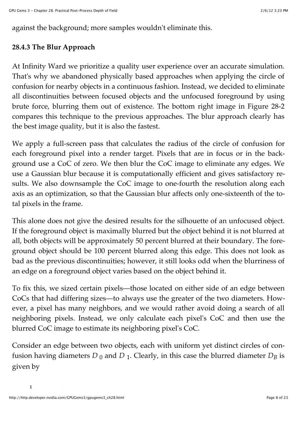against the background; more samples wouldn't eliminate this.

### **28.4.3 The Blur Approach**

At Infinity Ward we prioritize a quality user experience over an accurate simulation. That's why we abandoned physically based approaches when applying the circle of confusion for nearby objects in a continuous fashion. Instead, we decided to eliminate all discontinuities between focused objects and the unfocused foreground by using brute force, blurring them out of existence. The bottom right image in Figure 28-2 compares this technique to the previous approaches. The blur approach clearly has the best image quality, but it is also the fastest.

We apply a full-screen pass that calculates the radius of the circle of confusion for each foreground pixel into a render target. Pixels that are in focus or in the background use a CoC of zero. We then blur the CoC image to eliminate any edges. We use a Gaussian blur because it is computationally efficient and gives satisfactory results. We also downsample the CoC image to one-fourth the resolution along each axis as an optimization, so that the Gaussian blur affects only one-sixteenth of the total pixels in the frame.

This alone does not give the desired results for the silhouette of an unfocused object. If the foreground object is maximally blurred but the object behind it is not blurred at all, both objects will be approximately 50 percent blurred at their boundary. The foreground object should be 100 percent blurred along this edge. This does not look as bad as the previous discontinuities; however, it still looks odd when the blurriness of an edge on a foreground object varies based on the object behind it.

To fix this, we sized certain pixels—those located on either side of an edge between CoCs that had differing sizes—to always use the greater of the two diameters. However, a pixel has many neighbors, and we would rather avoid doing a search of all neighboring pixels. Instead, we only calculate each pixel's CoC and then use the blurred CoC image to estimate its neighboring pixel's CoC.

Consider an edge between two objects, each with uniform yet distinct circles of confusion having diameters  $D_0$  and  $D_1$ . Clearly, in this case the blurred diameter  $D_B$  is given by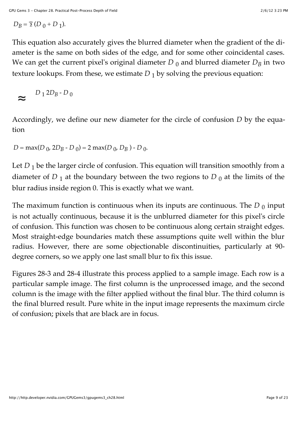$$
D_B = \bar{\mathbf{2}} \left( D_0 + D_1 \right).
$$

This equation also accurately gives the blurred diameter when the gradient of the diameter is the same on both sides of the edge, and for some other coincidental cases. We can get the current pixel's original diameter  $D_0$  and blurred diameter  $D_B$  in two texture lookups. From these, we estimate  $D_1$  by solving the previous equation:

$$
\sim D_1 2D_B - D_0
$$

Accordingly, we define our new diameter for the circle of confusion *D* by the equation

 $D = \max(D_0, 2D_B - D_0) = 2 \max(D_0, D_B) - D_0.$ 

Let  $D_1$  be the larger circle of confusion. This equation will transition smoothly from a diameter of  $D_1$  at the boundary between the two regions to  $D_0$  at the limits of the blur radius inside region 0. This is exactly what we want.

The maximum function is continuous when its inputs are continuous. The  $D_0$  input is not actually continuous, because it is the unblurred diameter for this pixel's circle of confusion. This function was chosen to be continuous along certain straight edges. Most straight-edge boundaries match these assumptions quite well within the blur radius. However, there are some objectionable discontinuities, particularly at 90 degree corners, so we apply one last small blur to fix this issue.

Figures 28-3 and 28-4 illustrate this process applied to a sample image. Each row is a particular sample image. The first column is the unprocessed image, and the second column is the image with the filter applied without the final blur. The third column is the final blurred result. Pure white in the input image represents the maximum circle of confusion; pixels that are black are in focus.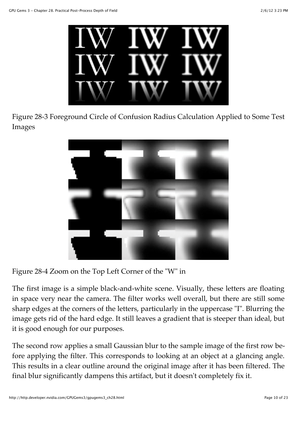

Figure 28-3 Foreground Circle of Confusion Radius Calculation Applied to Some Test Images



Figure 28-4 Zoom on the Top Left Corner of the "W" in

The first image is a simple black-and-white scene. Visually, these letters are floating in space very near the camera. The filter works well overall, but there are still some sharp edges at the corners of the letters, particularly in the uppercase "I". Blurring the image gets rid of the hard edge. It still leaves a gradient that is steeper than ideal, but it is good enough for our purposes.

The second row applies a small Gaussian blur to the sample image of the first row before applying the filter. This corresponds to looking at an object at a glancing angle. This results in a clear outline around the original image after it has been filtered. The final blur significantly dampens this artifact, but it doesn't completely fix it.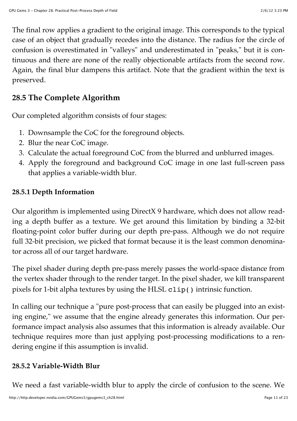The final row applies a gradient to the original image. This corresponds to the typical case of an object that gradually recedes into the distance. The radius for the circle of confusion is overestimated in "valleys" and underestimated in "peaks," but it is continuous and there are none of the really objectionable artifacts from the second row. Again, the final blur dampens this artifact. Note that the gradient within the text is preserved.

### **28.5 The Complete Algorithm**

Our completed algorithm consists of four stages:

- 1. Downsample the CoC for the foreground objects.
- 2. Blur the near CoC image.
- 3. Calculate the actual foreground CoC from the blurred and unblurred images.
- 4. Apply the foreground and background CoC image in one last full-screen pass that applies a variable-width blur.

### **28.5.1 Depth Information**

Our algorithm is implemented using DirectX 9 hardware, which does not allow reading a depth buffer as a texture. We get around this limitation by binding a 32-bit floating-point color buffer during our depth pre-pass. Although we do not require full 32-bit precision, we picked that format because it is the least common denominator across all of our target hardware.

The pixel shader during depth pre-pass merely passes the world-space distance from the vertex shader through to the render target. In the pixel shader, we kill transparent pixels for 1-bit alpha textures by using the HLSL clip() intrinsic function.

In calling our technique a "pure post-process that can easily be plugged into an existing engine," we assume that the engine already generates this information. Our performance impact analysis also assumes that this information is already available. Our technique requires more than just applying post-processing modifications to a rendering engine if this assumption is invalid.

### **28.5.2 Variable-Width Blur**

We need a fast variable-width blur to apply the circle of confusion to the scene. We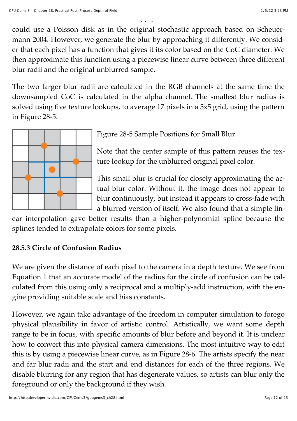$\mathcal{L}_{\mathcal{A}}$  is a fast variable-width blur to apply the circle of confusion to the scene. We confusion to the scene.

could use a Poisson disk as in the original stochastic approach based on Scheuermann 2004. However, we generate the blur by approaching it differently. We consider that each pixel has a function that gives it its color based on the CoC diameter. We then approximate this function using a piecewise linear curve between three different blur radii and the original unblurred sample.

The two larger blur radii are calculated in the RGB channels at the same time the downsampled CoC is calculated in the alpha channel. The smallest blur radius is solved using five texture lookups, to average 17 pixels in a 5x5 grid, using the pattern in Figure 28-5.



Figure 28-5 Sample Positions for Small Blur

Note that the center sample of this pattern reuses the texture lookup for the unblurred original pixel color.

This small blur is crucial for closely approximating the actual blur color. Without it, the image does not appear to blur continuously, but instead it appears to cross-fade with a blurred version of itself. We also found that a simple lin-

ear interpolation gave better results than a higher-polynomial spline because the splines tended to extrapolate colors for some pixels.

### **28.5.3 Circle of Confusion Radius**

We are given the distance of each pixel to the camera in a depth texture. We see from Equation 1 that an accurate model of the radius for the circle of confusion can be calculated from this using only a reciprocal and a multiply-add instruction, with the engine providing suitable scale and bias constants.

However, we again take advantage of the freedom in computer simulation to forego physical plausibility in favor of artistic control. Artistically, we want some depth range to be in focus, with specific amounts of blur before and beyond it. It is unclear how to convert this into physical camera dimensions. The most intuitive way to edit this is by using a piecewise linear curve, as in Figure 28-6. The artists specify the near and far blur radii and the start and end distances for each of the three regions. We disable blurring for any region that has degenerate values, so artists can blur only the foreground or only the background if they wish.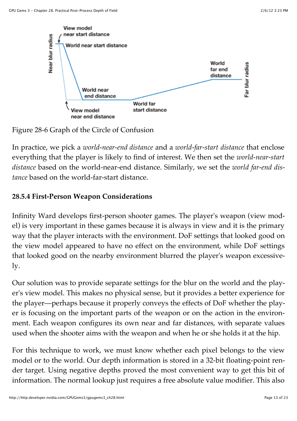

Figure 28-6 Graph of the Circle of Confusion

In practice, we pick a *world-near-end distance* and a *world-far-start distance* that enclose everything that the player is likely to find of interest. We then set the *world-near-start distance* based on the world-near-end distance. Similarly, we set the *world far-end distance* based on the world-far-start distance.

# **28.5.4 First-Person Weapon Considerations**

Infinity Ward develops first-person shooter games. The player's weapon (view model) is very important in these games because it is always in view and it is the primary way that the player interacts with the environment. DoF settings that looked good on the view model appeared to have no effect on the environment, while DoF settings that looked good on the nearby environment blurred the player's weapon excessively.

Our solution was to provide separate settings for the blur on the world and the player's view model. This makes no physical sense, but it provides a better experience for the player—perhaps because it properly conveys the effects of DoF whether the player is focusing on the important parts of the weapon or on the action in the environment. Each weapon configures its own near and far distances, with separate values used when the shooter aims with the weapon and when he or she holds it at the hip.

For this technique to work, we must know whether each pixel belongs to the view model or to the world. Our depth information is stored in a 32-bit floating-point render target. Using negative depths proved the most convenient way to get this bit of information. The normal lookup just requires a free absolute value modifier. This also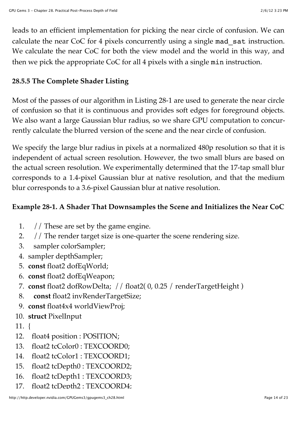leads to an efficient implementation for picking the near circle of confusion. We can calculate the near CoC for 4 pixels concurrently using a single mad\_sat instruction. We calculate the near CoC for both the view model and the world in this way, and then we pick the appropriate CoC for all 4 pixels with a single min instruction.

### **28.5.5 The Complete Shader Listing**

Most of the passes of our algorithm in Listing 28-1 are used to generate the near circle of confusion so that it is continuous and provides soft edges for foreground objects. We also want a large Gaussian blur radius, so we share GPU computation to concurrently calculate the blurred version of the scene and the near circle of confusion.

We specify the large blur radius in pixels at a normalized 480p resolution so that it is independent of actual screen resolution. However, the two small blurs are based on the actual screen resolution. We experimentally determined that the 17-tap small blur corresponds to a 1.4-pixel Gaussian blur at native resolution, and that the medium blur corresponds to a 3.6-pixel Gaussian blur at native resolution.

### **Example 28-1. A Shader That Downsamples the Scene and Initializes the Near CoC**

- 1. // These are set by the game engine.
- 2. // The render target size is one-quarter the scene rendering size.
- 3. sampler colorSampler;
- 4. sampler depthSampler;
- 5. **const** float2 dofEqWorld;
- 6. **const** float2 dofEqWeapon;
- 7. **const** float2 dofRowDelta; // float2( 0, 0.25 / renderTargetHeight )
- 8. **const** float2 invRenderTargetSize;
- 9. **const** float4x4 worldViewProj;
- 10. **struct** PixelInput
- 11. {
- 12. float4 position : POSITION;
- 13. float2 tcColor0 : TEXCOORD0;
- 14. float2 tcColor1 : TEXCOORD1;
- 15. float2 tcDepth0 : TEXCOORD2;
- 16. float2 tcDepth1 : TEXCOORD3;
- 17. float2 tcDepth2 : TEXCOORD4;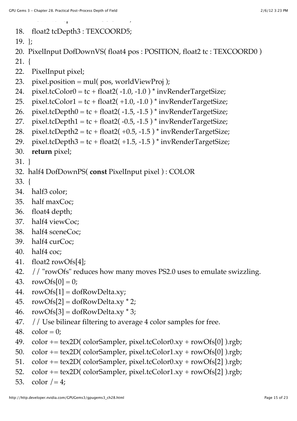$17.$  float te depth  $17.$ 

18. float2 tcDepth3 : TEXCOORD5;

```
19. };
```
20. PixelInput DofDownVS( float4 pos : POSITION, float2 tc : TEXCOORD0 )

21. {

- 22. PixelInput pixel;
- 23. pixel.position = mul( $pos$ , worldViewProj);
- 24. pixel.tcColor0 = tc + float2(-1.0, -1.0) \* invRenderTargetSize;
- 25. pixel.tcColor1 = tc + float2( +1.0, -1.0) \* invRenderTargetSize;
- 26. pixel.tcDepth $0 = tc + float2(-1.5, -1.5) * invRenderTargetSize;$
- 27. pixel.tcDepth1 = tc + float2( $-0.5, -1.5$ ) \* invRenderTargetSize;
- 28. pixel.tcDepth2 = tc + float2(  $+0.5, -1.5$  ) \* invRenderTargetSize;
- 29. pixel.tcDepth3 = tc + float2( $+1.5, -1.5$ ) \* invRenderTargetSize;
- 30. **return** pixel;

31. }

- 32. half4 DofDownPS( **const** PixelInput pixel ) : COLOR
- 33. {
- 34. half3 color;
- 35. half maxCoc;
- 36. float4 depth;
- 37. half4 viewCoc;
- 38. half4 sceneCoc;
- 39. half4 curCoc;
- 40. half4 coc;
- 41. float2 rowOfs[4];
- 42. // "rowOfs" reduces how many moves PS2.0 uses to emulate swizzling.
- 43. rowOfs $[0] = 0$ ;
- 44.  $rowOfs[1] = dofRowDelta xy;$
- 45.  $rowOfs[2] = dofRowDelta xy * 2;$
- 46. rowOfs[3] = dofRowDelta.xy  $*$  3;
- 47. // Use bilinear filtering to average 4 color samples for free.
- 48.  $color = 0;$
- 49. color  $+=$  tex2D( colorSampler, pixel.tcColor0.xy + rowOfs[0] ).rgb;
- 50. color  $+=$  tex2D( colorSampler, pixel.tcColor1.xy + rowOfs[0] ).rgb;
- 51. color += tex2D( colorSampler, pixel.tcColor0.xy + rowOfs[2] ).rgb;
- 52. color  $+=$  tex2D( colorSampler, pixel.tcColor1.xy + rowOfs[2] ).rgb;
- 53. color  $/ = 4$ ;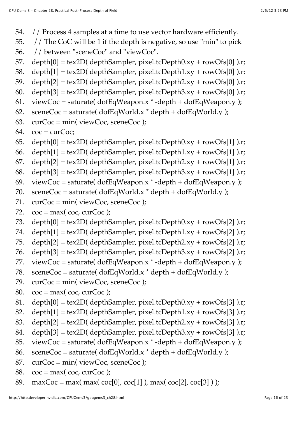- 54. // Process 4 samples at a time to use vector hardware efficiently.
- 55. // The CoC will be 1 if the depth is negative, so use "min" to pick
- 56. // between "sceneCoc" and "viewCoc".
- 57. depth[0] = tex2D( depthSampler, pixel.tcDepth0.xy + rowOfs[0] ).r;
- 58. depth $[1]$  = tex2D( depthSampler, pixel.tcDepth1.xy + rowOfs $[0]$  ).r;
- 59. depth $[2]$  = tex2D( depthSampler, pixel.tcDepth2.xy + rowOfs $[0]$  ).r;
- 60. depth[3] = tex2D( depthSampler, pixel.tcDepth3.xy + rowOfs[0] ).r;
- 61. viewCoc = saturate( $\text{dofEqWeapon.x}^*$ -depth +  $\text{dofEqWeapon.y}$ );
- 62. sceneCoc = saturate( $\text{dofEqWorld.x} * \text{depth} + \text{dofEqWorld.y}$ );
- 63.  $curCoc = min(viewCoc, sceneCoc);$
- 64.  $\cos = \text{curCoc}$ ;
- 65. depth $[0]$  = tex2D( depthSampler, pixel.tcDepth0.xy + rowOfs[1] ).r;
- 66. depth $[1]$  = tex2D( depthSampler, pixel.tcDepth1.xy + rowOfs $[1]$  ).r;
- 67. depth[2] = tex2D( depthSampler, pixel.tcDepth2.xy + rowOfs[1] ).r;
- 68. depth[3] = tex2D( depthSampler, pixel.tcDepth3.xy + rowOfs[1] ).r;
- 69. viewCoc = saturate( $\text{dofEqWeapon.x}^*$ -depth +  $\text{dofEqWeapon.y}$ );
- 70. sceneCoc = saturate( $\text{dofEqWorld.x} * \text{depth} + \text{dofEqWorld.y}$ );
- 71.  $curCoc = min(viewCoc, sceneCoc);$
- 72.  $\cos = \max(\cos, \cos \cos);$
- 73. depth $[0]$  = tex2D( depthSampler, pixel.tcDepth0.xy + rowOfs[2] ).r;
- 74. depth $[1]$  = tex2D( depthSampler, pixel.tcDepth1.xy + rowOfs $[2]$  ).r;
- 75. depth $[2]$  = tex2D( depthSampler, pixel.tcDepth2.xy + rowOfs $[2]$  ).r;
- 76. depth $[3]$  = tex2D( depthSampler, pixel.tcDepth3.xy + rowOfs[2] ).r;
- 77. viewCoc = saturate( $\text{dofEqWeapon.x}^*$ -depth +  $\text{dofEqWeapon.y}$ );
- 78. sceneCoc = saturate( $\text{dofEqWorld.x} * \text{depth} + \text{dofEqWorld.y}$ );
- 79. curCoc = min( viewCoc, sceneCoc );
- 80.  $\cos = \max(\cos, \cos \cos)$ ;
- 81. depth $[0]$  = tex2D( depthSampler, pixel.tcDepth0.xy + rowOfs[3] ).r;
- 82. depth $[1]$  = tex2D( depthSampler, pixel.tcDepth1.xy + rowOfs[3] ).r;
- 83. depth $[2]$  = tex2D( depthSampler, pixel.tcDepth2.xy + rowOfs[3] ).r;
- 84. depth[3] = tex2D( depthSampler, pixel.tcDepth3.xy + rowOfs[3] ).r;
- 85. viewCoc = saturate( $\text{dofEqWeapon.x}^*$ -depth +  $\text{dofEqWeapon.y}$ );
- 86. sceneCoc = saturate( $\text{dofEqWorld.x}^* \text{depth} + \text{dofEqWorld.y}$ );
- 87.  $curCoc = min(viewCoc, sceneCoc)$ ;
- 88.  $\cos = \max(\cos, \cos \cos)$ ;
- 89. maxCoc = max( max( coc[0], coc[1] ), max( coc[2], coc[3] ) );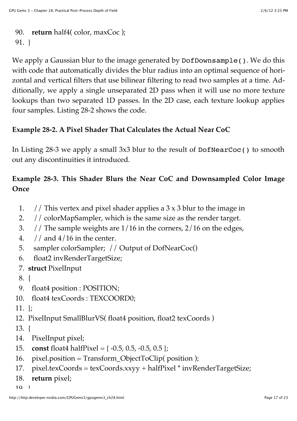```
90. return half4( color, maxCoc );
91. }
```
We apply a Gaussian blur to the image generated by DofDownsample(). We do this with code that automatically divides the blur radius into an optimal sequence of horizontal and vertical filters that use bilinear filtering to read two samples at a time. Additionally, we apply a single unseparated 2D pass when it will use no more texture lookups than two separated 1D passes. In the 2D case, each texture lookup applies four samples. Listing 28-2 shows the code.

#### **Example 28-2. A Pixel Shader That Calculates the Actual Near CoC**

In Listing 28-3 we apply a small 3x3 blur to the result of DofNearCoc() to smooth out any discontinuities it introduced.

### **Example 28-3. This Shader Blurs the Near CoC and Downsampled Color Image Once**

- 1. // This vertex and pixel shader applies a  $3 \times 3$  blur to the image in
- 2. // colorMapSampler, which is the same size as the render target.
- 3. // The sample weights are 1/16 in the corners, 2/16 on the edges,
- 4.  $\frac{1}{4}$  and  $\frac{4}{16}$  in the center.
- 5. sampler colorSampler; // Output of DofNearCoc()
- 6. float2 invRenderTargetSize;
- 7. **struct** PixelInput
- 8. {
- 9. float4 position : POSITION;
- 10. float4 texCoords : TEXCOORD0;
- 11. };
- 12. PixelInput SmallBlurVS( float4 position, float2 texCoords )
- 13. {
- 14. PixelInput pixel;
- 15. **const** float4 halfPixel = { -0.5, 0.5, -0.5, 0.5 };
- 16. pixel.position = Transform\_ObjectToClip( position );
- 17. pixel.texCoords = texCoords.xxyy + halfPixel \* invRenderTargetSize;
- 18. **return** pixel;
- $10<sup>-1</sup>$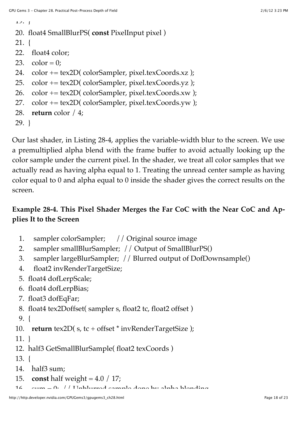```
17. \int
```

```
20. float4 SmallBlurPS( const PixelInput pixel )
```

```
21. {
```

```
22. float4 color;
```

```
23. color = 0;
```

```
24. color += tex2D( colorSampler, pixel.texCoords.xz );
```

```
25. color += tex2D( colorSampler, pixel.texCoords.yz );
```

```
26. color += tex2D( colorSampler, pixel.texCoords.xw );
```

```
27. color += tex2D( colorSampler, pixel.texCoords.yw );
```
28. **return** color / 4;

```
29. }
```
Our last shader, in Listing 28-4, applies the variable-width blur to the screen. We use a premultiplied alpha blend with the frame buffer to avoid actually looking up the color sample under the current pixel. In the shader, we treat all color samples that we actually read as having alpha equal to 1. Treating the unread center sample as having color equal to 0 and alpha equal to 0 inside the shader gives the correct results on the screen.

### **Example 28-4. This Pixel Shader Merges the Far CoC with the Near CoC and Applies It to the Screen**

- 1. sampler colorSampler; // Original source image
- 2. sampler smallBlurSampler; // Output of SmallBlurPS()
- 3. sampler largeBlurSampler; // Blurred output of DofDownsample()
- 4. float2 invRenderTargetSize;
- 5. float4 dofLerpScale;
- 6. float4 dofLerpBias;
- 7. float3 dofEqFar;
- 8. float4 tex2Doffset( sampler s, float2 tc, float2 offset )
- 9. {

10. **return** tex2D(s, tc + offset \* invRenderTargetSize);

11. }

```
12. half3 GetSmallBlurSample( float2 texCoords )
```

```
13. {
```

```
14. half3 sum;
```
- 15. **const** half weight = 4.0 / 17;
- $16.$  sum  $= 0$ ;  $/$  Unblurged sample done by alpha blending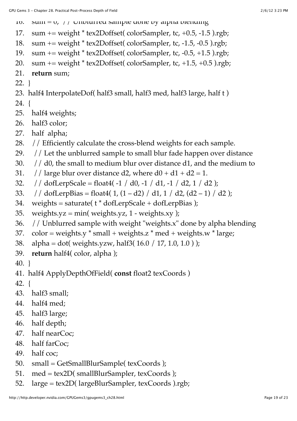- 10. sum =  $v_j$  // Unblurred sample done by alpha blending
- 17. sum += weight \* tex2Doffset( colorSampler, tc, +0.5, -1.5 ).rgb;
- 18. sum += weight \* tex2Doffset( colorSampler, tc, -1.5, -0.5 ).rgb;
- 19. sum += weight \* tex2Doffset( colorSampler, tc, -0.5, +1.5 ).rgb;
- 20. sum  $+=$  weight  $*$  tex2Doffset( colorSampler, tc,  $+1.5$ ,  $+0.5$  ).rgb;
- 21. **return** sum;
- 22. }
- 23. half4 InterpolateDof( half3 small, half3 med, half3 large, half t )
- 24. {
- 25. half4 weights;
- 26. half3 color;
- 27. half alpha;
- 28. // Efficiently calculate the cross-blend weights for each sample.
- 29. // Let the unblurred sample to small blur fade happen over distance
- 30.  $//$  d0, the small to medium blur over distance d1, and the medium to
- 31. // large blur over distance d2, where  $d0 + d1 + d2 = 1$ .
- 32. // dofLerpScale = float4( $-1$  / d0,  $-1$  / d1,  $-1$  / d2,  $1$  / d2);
- 33. // dofLerpBias = float4( $1$ ,  $(1 d2)$  / d1,  $1$  / d2,  $(d2 1)$  / d2);
- 34. weights = saturate( $t *$  dofLerpScale + dofLerpBias);
- 35. weights.yz = min( weights.yz,  $1$  weights.xy );
- 36. // Unblurred sample with weight "weights.x" done by alpha blending
- 37.  $color = weights.y * small + weights.z * med + weights.w * large;$
- 38. alpha = dot( weights.yzw, half3( 16.0 / 17, 1.0, 1.0 ) );
- 39. **return** half4( color, alpha );
- 40. }
- 41. half4 ApplyDepthOfField( **const** float2 texCoords )
- 42. {
- 43. half3 small;
- 44. half4 med;
- 45. half3 large;
- 46. half depth;
- 47. half nearCoc;
- 48. half farCoc;
- 49. half coc;
- 50. small = GetSmallBlurSample( texCoords );
- 51. med = tex2D( smallBlurSampler, texCoords );
- 52. large = tex2D( largeBlurSampler, texCoords ).rgb;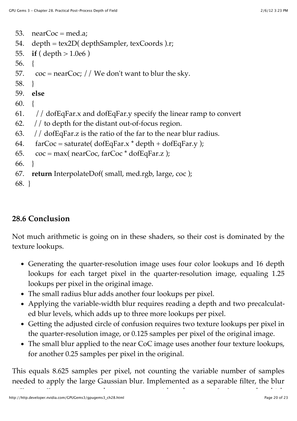```
53. nearCoc = med.a;54. depth = tex2D( depthSampler, texCoords ).r; 
55. if ( depth > 1.0e6 ) 
56. { 
57. \cos = \text{nearCoc}; // We don't want to blur the sky.
58. } 
59. else 
60. { 
61. // dofEqFar.x and dofEqFar.y specify the linear ramp to convert
62. // to depth for the distant out-of-focus region. 
63. // dofEqFar.z is the ratio of the far to the near blur radius.
64. farCoc = saturate(\text{dofEqFar.x} \star \text{depth} + \text{dofEqFar.y});
65. \cos = \max(\text{nearCoc, farCoc} * \text{dofEqFar.z});
66. } 
67. return InterpolateDof( small, med.rgb, large, coc );
```

```
68. }
```
# **28.6 Conclusion**

Not much arithmetic is going on in these shaders, so their cost is dominated by the texture lookups.

- Generating the quarter-resolution image uses four color lookups and 16 depth lookups for each target pixel in the quarter-resolution image, equaling 1.25 lookups per pixel in the original image.
- The small radius blur adds another four lookups per pixel.
- Applying the variable-width blur requires reading a depth and two precalculated blur levels, which adds up to three more lookups per pixel.
- Getting the adjusted circle of confusion requires two texture lookups per pixel in the quarter-resolution image, or 0.125 samples per pixel of the original image.
- The small blur applied to the near CoC image uses another four texture lookups, for another 0.25 samples per pixel in the original.

This equals 8.625 samples per pixel, not counting the variable number of samples needed to apply the large Gaussian blur. Implemented as a separable filter, the blur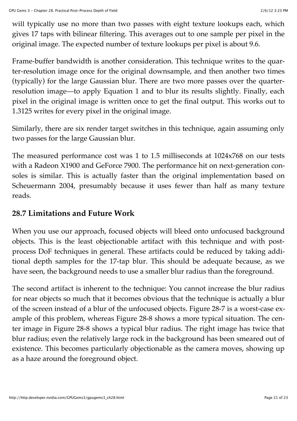will typically use no more than two passes with eight texture lookups each, which gives 17 taps with bilinear filtering. This averages out to one sample per pixel in the original image. The expected number of texture lookups per pixel is about 9.6.

Frame-buffer bandwidth is another consideration. This technique writes to the quarter-resolution image once for the original downsample, and then another two times (typically) for the large Gaussian blur. There are two more passes over the quarterresolution image—to apply Equation 1 and to blur its results slightly. Finally, each pixel in the original image is written once to get the final output. This works out to 1.3125 writes for every pixel in the original image.

Similarly, there are six render target switches in this technique, again assuming only two passes for the large Gaussian blur.

The measured performance cost was 1 to 1.5 milliseconds at 1024x768 on our tests with a Radeon X1900 and GeForce 7900. The performance hit on next-generation consoles is similar. This is actually faster than the original implementation based on Scheuermann 2004, presumably because it uses fewer than half as many texture reads.

# **28.7 Limitations and Future Work**

When you use our approach, focused objects will bleed onto unfocused background objects. This is the least objectionable artifact with this technique and with postprocess DoF techniques in general. These artifacts could be reduced by taking additional depth samples for the 17-tap blur. This should be adequate because, as we have seen, the background needs to use a smaller blur radius than the foreground.

The second artifact is inherent to the technique: You cannot increase the blur radius for near objects so much that it becomes obvious that the technique is actually a blur of the screen instead of a blur of the unfocused objects. Figure 28-7 is a worst-case example of this problem, whereas Figure 28-8 shows a more typical situation. The center image in Figure 28-8 shows a typical blur radius. The right image has twice that blur radius; even the relatively large rock in the background has been smeared out of existence. This becomes particularly objectionable as the camera moves, showing up as a haze around the foreground object.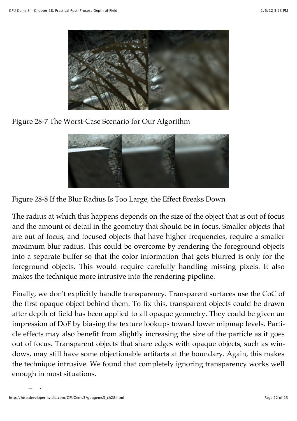

Figure 28-7 The Worst-Case Scenario for Our Algorithm



Figure 28-8 If the Blur Radius Is Too Large, the Effect Breaks Down

The radius at which this happens depends on the size of the object that is out of focus and the amount of detail in the geometry that should be in focus. Smaller objects that are out of focus, and focused objects that have higher frequencies, require a smaller maximum blur radius. This could be overcome by rendering the foreground objects into a separate buffer so that the color information that gets blurred is only for the foreground objects. This would require carefully handling missing pixels. It also makes the technique more intrusive into the rendering pipeline.

Finally, we don't explicitly handle transparency. Transparent surfaces use the CoC of the first opaque object behind them. To fix this, transparent objects could be drawn after depth of field has been applied to all opaque geometry. They could be given an impression of DoF by biasing the texture lookups toward lower mipmap levels. Particle effects may also benefit from slightly increasing the size of the particle as it goes out of focus. Transparent objects that share edges with opaque objects, such as windows, may still have some objectionable artifacts at the boundary. Again, this makes the technique intrusive. We found that completely ignoring transparency works well enough in most situations.